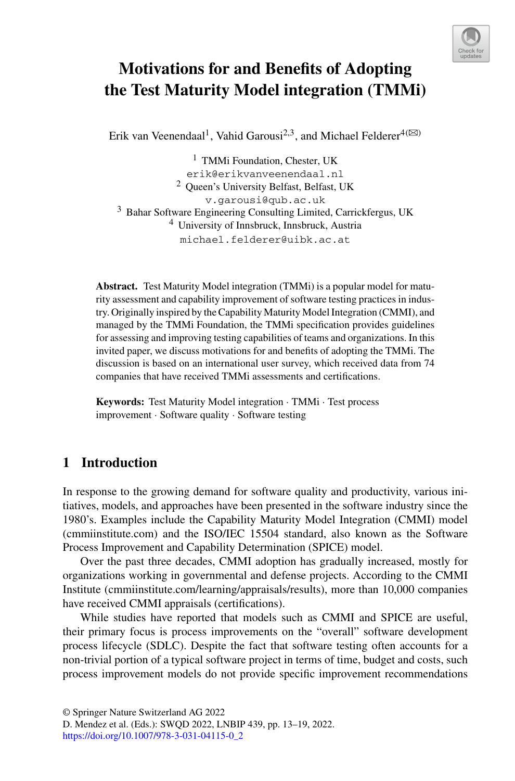

# **Motivations for and Benefits of Adopting the Test Maturity Model integration (TMMi)**

Erik van Veenendaal<sup>1</sup>, Vahid Garousi<sup>2,3</sup>, and Michael Felderer<sup>4( $\boxtimes$ )</sup>

<sup>1</sup> TMMi Foundation, Chester, UK erik@erikvanveenendaal.nl <sup>2</sup> Queen's University Belfast, Belfast, UK v.garousi@qub.ac.uk <sup>3</sup> Bahar Software Engineering Consulting Limited, Carrickfergus, UK <sup>4</sup> University of Innsbruck, Innsbruck, Austria michael.felderer@uibk.ac.at

**Abstract.** Test Maturity Model integration (TMMi) is a popular model for maturity assessment and capability improvement of software testing practices in industry. Originally inspired by the Capability Maturity Model Integration (CMMI), and managed by the TMMi Foundation, the TMMi specification provides guidelines for assessing and improving testing capabilities of teams and organizations. In this invited paper, we discuss motivations for and benefits of adopting the TMMi. The discussion is based on an international user survey, which received data from 74 companies that have received TMMi assessments and certifications.

**Keywords:** Test Maturity Model integration · TMMi · Test process improvement · Software quality · Software testing

### **1 Introduction**

In response to the growing demand for software quality and productivity, various initiatives, models, and approaches have been presented in the software industry since the 1980's. Examples include the Capability Maturity Model Integration (CMMI) model (cmmiinstitute.com) and the ISO/IEC 15504 standard, also known as the Software Process Improvement and Capability Determination (SPICE) model.

Over the past three decades, CMMI adoption has gradually increased, mostly for organizations working in governmental and defense projects. According to the CMMI Institute (cmmiinstitute.com/learning/appraisals/results), more than 10,000 companies have received CMMI appraisals (certifications).

While studies have reported that models such as CMMI and SPICE are useful, their primary focus is process improvements on the "overall" software development process lifecycle (SDLC). Despite the fact that software testing often accounts for a non-trivial portion of a typical software project in terms of time, budget and costs, such process improvement models do not provide specific improvement recommendations

© Springer Nature Switzerland AG 2022

D. Mendez et al. (Eds.): SWQD 2022, LNBIP 439, pp. 13–19, 2022. https://doi.org/10.1007/978-3-031-04115-0\_2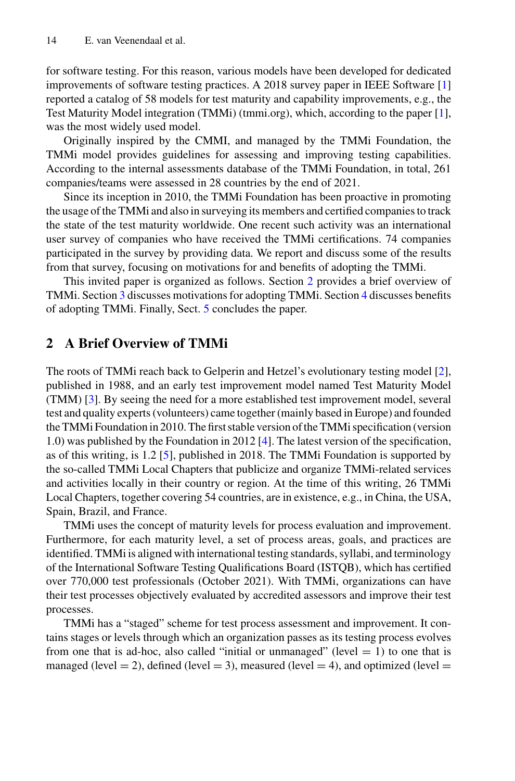for software testing. For this reason, various models have been developed for dedicated improvements of software testing practices. A 2018 survey paper in IEEE Software [1] reported a catalog of 58 models for test maturity and capability improvements, e.g., the Test Maturity Model integration (TMMi) (tmmi.org), which, according to the paper [1], was the most widely used model.

Originally inspired by the CMMI, and managed by the TMMi Foundation, the TMMi model provides guidelines for assessing and improving testing capabilities. According to the internal assessments database of the TMMi Foundation, in total, 261 companies/teams were assessed in 28 countries by the end of 2021.

Since its inception in 2010, the TMMi Foundation has been proactive in promoting the usage of the TMMi and also in surveying its members and certified companies to track the state of the test maturity worldwide. One recent such activity was an international user survey of companies who have received the TMMi certifications. 74 companies participated in the survey by providing data. We report and discuss some of the results from that survey, focusing on motivations for and benefits of adopting the TMMi.

This invited paper is organized as follows. Section 2 provides a brief overview of TMMi. Section 3 discusses motivations for adopting TMMi. Section 4 discusses benefits of adopting TMMi. Finally, Sect. 5 concludes the paper.

### **2 A Brief Overview of TMMi**

The roots of TMMi reach back to Gelperin and Hetzel's evolutionary testing model [2], published in 1988, and an early test improvement model named Test Maturity Model (TMM) [3]. By seeing the need for a more established test improvement model, several test and quality experts (volunteers) came together (mainly based in Europe) and founded the TMMi Foundation in 2010. The first stable version of the TMMi specification (version 1.0) was published by the Foundation in 2012 [4]. The latest version of the specification, as of this writing, is 1.2 [5], published in 2018. The TMMi Foundation is supported by the so-called TMMi Local Chapters that publicize and organize TMMi-related services and activities locally in their country or region. At the time of this writing, 26 TMMi Local Chapters, together covering 54 countries, are in existence, e.g., in China, the USA, Spain, Brazil, and France.

TMMi uses the concept of maturity levels for process evaluation and improvement. Furthermore, for each maturity level, a set of process areas, goals, and practices are identified. TMMi is aligned with international testing standards, syllabi, and terminology of the International Software Testing Qualifications Board (ISTQB), which has certified over 770,000 test professionals (October 2021). With TMMi, organizations can have their test processes objectively evaluated by accredited assessors and improve their test processes.

TMMi has a "staged" scheme for test process assessment and improvement. It contains stages or levels through which an organization passes as its testing process evolves from one that is ad-hoc, also called "initial or unmanaged" (level  $= 1$ ) to one that is managed (level  $= 2$ ), defined (level  $= 3$ ), measured (level  $= 4$ ), and optimized (level  $=$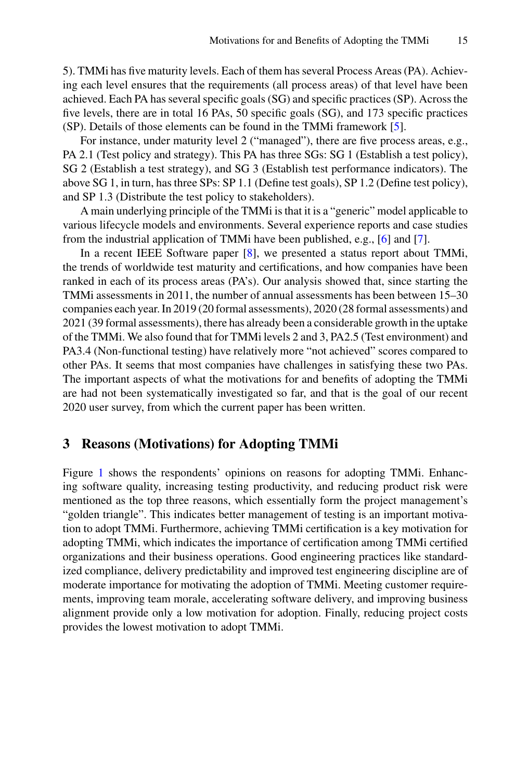5). TMMi has five maturity levels. Each of them has several Process Areas (PA). Achieving each level ensures that the requirements (all process areas) of that level have been achieved. Each PA has several specific goals (SG) and specific practices (SP). Across the five levels, there are in total 16 PAs, 50 specific goals (SG), and 173 specific practices (SP). Details of those elements can be found in the TMMi framework [5].

For instance, under maturity level 2 ("managed"), there are five process areas, e.g., PA 2.1 (Test policy and strategy). This PA has three SGs: SG 1 (Establish a test policy), SG 2 (Establish a test strategy), and SG 3 (Establish test performance indicators). The above SG 1, in turn, has three SPs: SP 1.1 (Define test goals), SP 1.2 (Define test policy), and SP 1.3 (Distribute the test policy to stakeholders).

A main underlying principle of the TMMi is that it is a "generic" model applicable to various lifecycle models and environments. Several experience reports and case studies from the industrial application of TMMi have been published, e.g., [6] and [7].

In a recent IEEE Software paper [8], we presented a status report about TMMi, the trends of worldwide test maturity and certifications, and how companies have been ranked in each of its process areas (PA's). Our analysis showed that, since starting the TMMi assessments in 2011, the number of annual assessments has been between 15–30 companies each year. In 2019 (20 formal assessments), 2020 (28 formal assessments) and 2021 (39 formal assessments), there has already been a considerable growth in the uptake of the TMMi. We also found that for TMMi levels 2 and 3, PA2.5 (Test environment) and PA3.4 (Non-functional testing) have relatively more "not achieved" scores compared to other PAs. It seems that most companies have challenges in satisfying these two PAs. The important aspects of what the motivations for and benefits of adopting the TMMi are had not been systematically investigated so far, and that is the goal of our recent 2020 user survey, from which the current paper has been written.

#### **3 Reasons (Motivations) for Adopting TMMi**

Figure 1 shows the respondents' opinions on reasons for adopting TMMi. Enhancing software quality, increasing testing productivity, and reducing product risk were mentioned as the top three reasons, which essentially form the project management's "golden triangle". This indicates better management of testing is an important motivation to adopt TMMi. Furthermore, achieving TMMi certification is a key motivation for adopting TMMi, which indicates the importance of certification among TMMi certified organizations and their business operations. Good engineering practices like standardized compliance, delivery predictability and improved test engineering discipline are of moderate importance for motivating the adoption of TMMi. Meeting customer requirements, improving team morale, accelerating software delivery, and improving business alignment provide only a low motivation for adoption. Finally, reducing project costs provides the lowest motivation to adopt TMMi.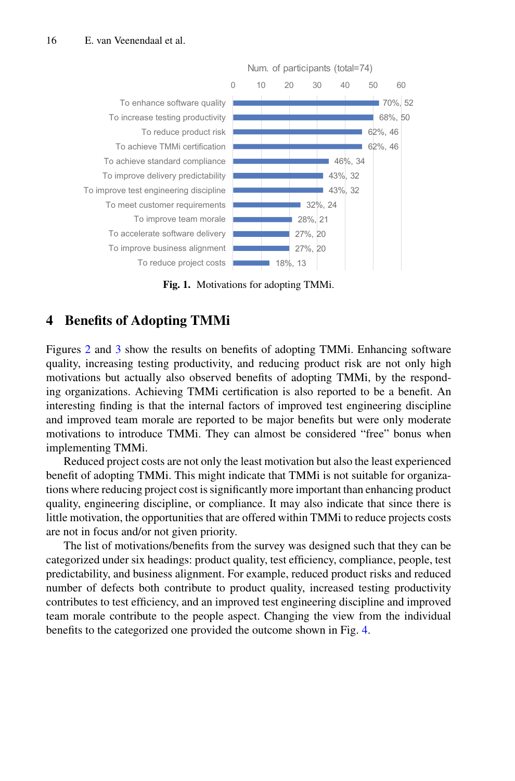

**Fig. 1.** Motivations for adopting TMMi.

### **4 Benefits of Adopting TMMi**

Figures 2 and 3 show the results on benefits of adopting TMMi. Enhancing software quality, increasing testing productivity, and reducing product risk are not only high motivations but actually also observed benefits of adopting TMMi, by the responding organizations. Achieving TMMi certification is also reported to be a benefit. An interesting finding is that the internal factors of improved test engineering discipline and improved team morale are reported to be major benefits but were only moderate motivations to introduce TMMi. They can almost be considered "free" bonus when implementing TMMi.

Reduced project costs are not only the least motivation but also the least experienced benefit of adopting TMMi. This might indicate that TMMi is not suitable for organizations where reducing project cost is significantly more important than enhancing product quality, engineering discipline, or compliance. It may also indicate that since there is little motivation, the opportunities that are offered within TMMi to reduce projects costs are not in focus and/or not given priority.

The list of motivations/benefits from the survey was designed such that they can be categorized under six headings: product quality, test efficiency, compliance, people, test predictability, and business alignment. For example, reduced product risks and reduced number of defects both contribute to product quality, increased testing productivity contributes to test efficiency, and an improved test engineering discipline and improved team morale contribute to the people aspect. Changing the view from the individual benefits to the categorized one provided the outcome shown in Fig. 4.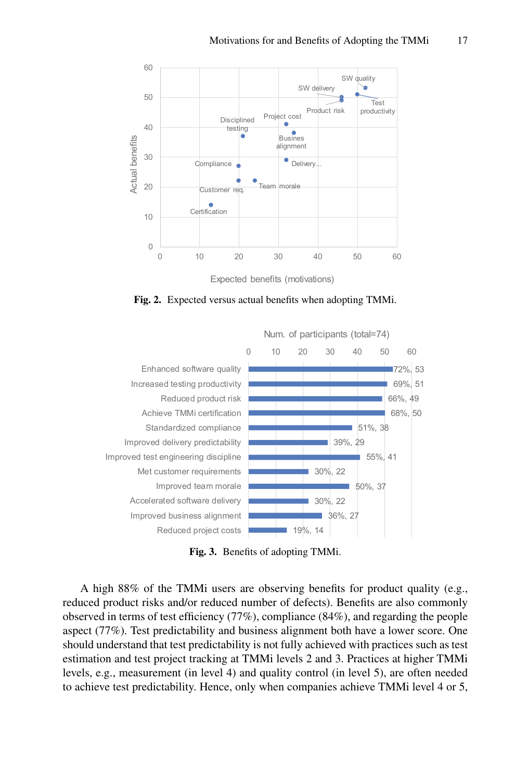

**Fig. 2.** Expected versus actual benefits when adopting TMMi.



**Fig. 3.** Benefits of adopting TMMi.

A high 88% of the TMMi users are observing benefits for product quality (e.g., reduced product risks and/or reduced number of defects). Benefits are also commonly observed in terms of test efficiency (77%), compliance (84%), and regarding the people aspect (77%). Test predictability and business alignment both have a lower score. One should understand that test predictability is not fully achieved with practices such as test estimation and test project tracking at TMMi levels 2 and 3. Practices at higher TMMi levels, e.g., measurement (in level 4) and quality control (in level 5), are often needed to achieve test predictability. Hence, only when companies achieve TMMi level 4 or 5,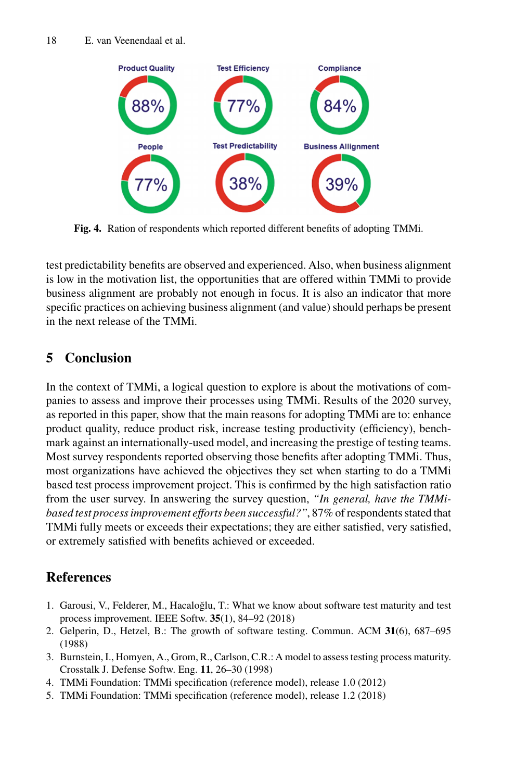

**Fig. 4.** Ration of respondents which reported different benefits of adopting TMMi.

test predictability benefits are observed and experienced. Also, when business alignment is low in the motivation list, the opportunities that are offered within TMMi to provide business alignment are probably not enough in focus. It is also an indicator that more specific practices on achieving business alignment (and value) should perhaps be present in the next release of the TMMi.

# **5 Conclusion**

In the context of TMMi, a logical question to explore is about the motivations of companies to assess and improve their processes using TMMi. Results of the 2020 survey, as reported in this paper, show that the main reasons for adopting TMMi are to: enhance product quality, reduce product risk, increase testing productivity (efficiency), benchmark against an internationally-used model, and increasing the prestige of testing teams. Most survey respondents reported observing those benefits after adopting TMMi. Thus, most organizations have achieved the objectives they set when starting to do a TMMi based test process improvement project. This is confirmed by the high satisfaction ratio from the user survey. In answering the survey question, *"In general, have the TMMibased test process improvement efforts been successful?"*, 87% of respondents stated that TMMi fully meets or exceeds their expectations; they are either satisfied, very satisfied, or extremely satisfied with benefits achieved or exceeded.

# **References**

- 1. Garousi, V., Felderer, M., Hacaloğlu, T.: What we know about software test maturity and test process improvement. IEEE Softw. **35**(1), 84–92 (2018)
- 2. Gelperin, D., Hetzel, B.: The growth of software testing. Commun. ACM **31**(6), 687–695 (1988)
- 3. Burnstein, I., Homyen, A., Grom, R., Carlson, C.R.: A model to assess testing process maturity. Crosstalk J. Defense Softw. Eng. **11**, 26–30 (1998)
- 4. TMMi Foundation: TMMi specification (reference model), release 1.0 (2012)
- 5. TMMi Foundation: TMMi specification (reference model), release 1.2 (2018)